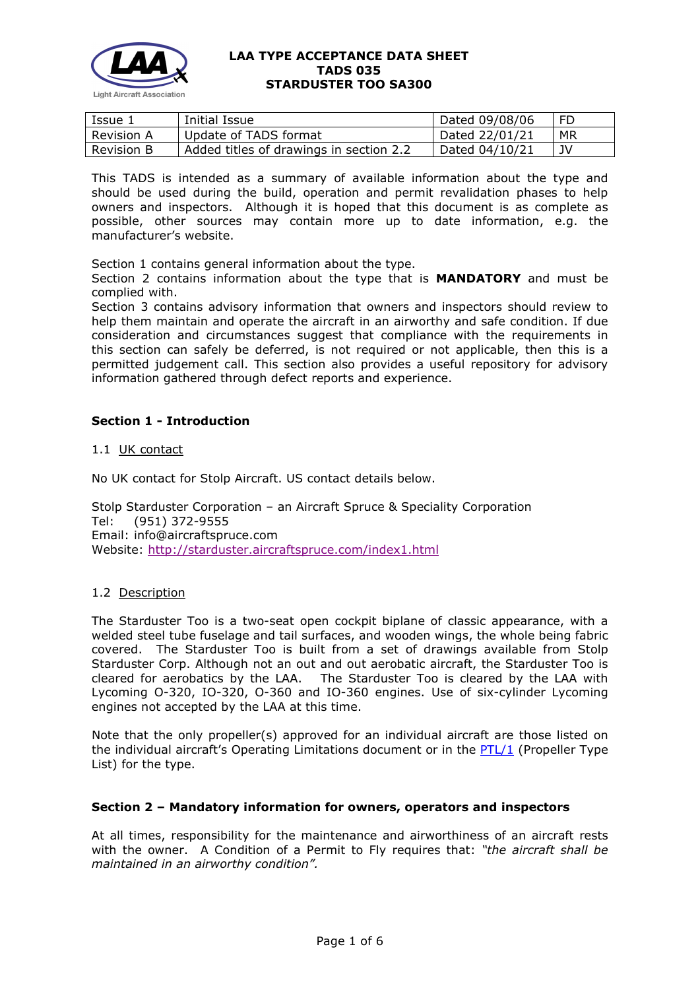

| Issue 1           | Initial Issue                           | Dated 09/08/06 | FD |
|-------------------|-----------------------------------------|----------------|----|
| Revision A        | Update of TADS format                   | Dated 22/01/21 | МR |
| <b>Revision B</b> | Added titles of drawings in section 2.2 | Dated 04/10/21 | JV |

This TADS is intended as a summary of available information about the type and should be used during the build, operation and permit revalidation phases to help owners and inspectors. Although it is hoped that this document is as complete as possible, other sources may contain more up to date information, e.g. the manufacturer's website.

Section 1 contains general information about the type.

Section 2 contains information about the type that is **MANDATORY** and must be complied with.

Section 3 contains advisory information that owners and inspectors should review to help them maintain and operate the aircraft in an airworthy and safe condition. If due consideration and circumstances suggest that compliance with the requirements in this section can safely be deferred, is not required or not applicable, then this is a permitted judgement call. This section also provides a useful repository for advisory information gathered through defect reports and experience.

# **Section 1 - Introduction**

#### 1.1 UK contact

No UK contact for Stolp Aircraft. US contact details below.

Stolp Starduster Corporation – an Aircraft Spruce & Speciality Corporation Tel: (951) 372-9555 Email: info@aircraftspruce.com Website: <http://starduster.aircraftspruce.com/index1.html>

### 1.2 Description

The Starduster Too is a two-seat open cockpit biplane of classic appearance, with a welded steel tube fuselage and tail surfaces, and wooden wings, the whole being fabric covered. The Starduster Too is built from a set of drawings available from Stolp Starduster Corp. Although not an out and out aerobatic aircraft, the Starduster Too is cleared for aerobatics by the LAA. The Starduster Too is cleared by the LAA with Lycoming O-320, IO-320, O-360 and IO-360 engines. Use of six-cylinder Lycoming engines not accepted by the LAA at this time.

Note that the only propeller(s) approved for an individual aircraft are those listed on the individual aircraft's Operating Limitations document or in the [PTL/1](http://www.lightaircraftassociation.co.uk/engineering/NewMods/PTL.html) (Propeller Type List) for the type.

### **Section 2 – Mandatory information for owners, operators and inspectors**

At all times, responsibility for the maintenance and airworthiness of an aircraft rests with the owner. A Condition of a Permit to Fly requires that: *"the aircraft shall be maintained in an airworthy condition".*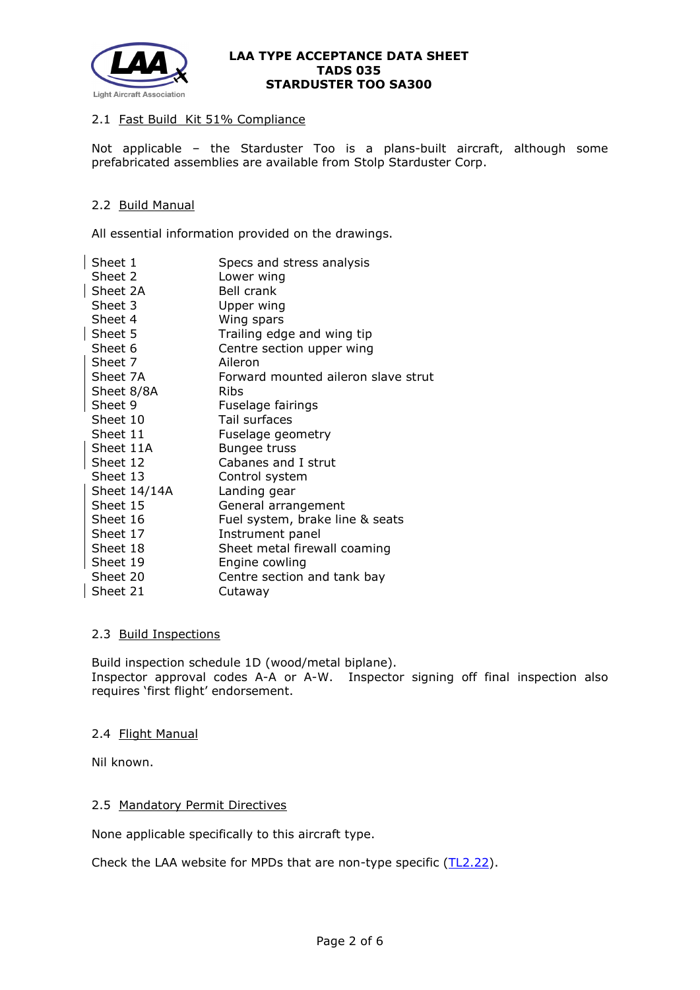

### 2.1 Fast Build Kit 51% Compliance

Not applicable – the Starduster Too is a plans-built aircraft, although some prefabricated assemblies are available from Stolp Starduster Corp.

### 2.2 Build Manual

All essential information provided on the drawings.

| Sheet 1      | Specs and stress analysis           |
|--------------|-------------------------------------|
| Sheet 2      | Lower wing                          |
| Sheet 2A     | Bell crank                          |
| Sheet 3      | Upper wing                          |
| Sheet 4      | Wing spars                          |
| Sheet 5      | Trailing edge and wing tip          |
| Sheet 6      | Centre section upper wing           |
| Sheet 7      | Aileron                             |
| Sheet 7A     | Forward mounted aileron slave strut |
| Sheet 8/8A   | <b>Ribs</b>                         |
| Sheet 9      | Fuselage fairings                   |
| Sheet 10     | Tail surfaces                       |
| Sheet 11     | Fuselage geometry                   |
| Sheet 11A    | <b>Bungee truss</b>                 |
| Sheet 12     | Cabanes and I strut                 |
| Sheet 13     | Control system                      |
| Sheet 14/14A | Landing gear                        |
| Sheet 15     | General arrangement                 |
| Sheet 16     | Fuel system, brake line & seats     |
| Sheet 17     | Instrument panel                    |
| Sheet 18     | Sheet metal firewall coaming        |
| Sheet 19     | Engine cowling                      |
| Sheet 20     | Centre section and tank bay         |
| Sheet 21     | Cutaway                             |
|              |                                     |

#### 2.3 Build Inspections

Build inspection schedule 1D (wood/metal biplane). Inspector approval codes A-A or A-W. Inspector signing off final inspection also requires 'first flight' endorsement.

#### 2.4 Flight Manual

Nil known.

### 2.5 Mandatory Permit Directives

None applicable specifically to this aircraft type.

Check the LAA website for MPDs that are non-type specific [\(TL2.22\)](http://www.lightaircraftassociation.co.uk/engineering/TechnicalLeaflets/Operating%20An%20Aircraft/TL%202.22%20non-type%20specific%20MPDs.pdf).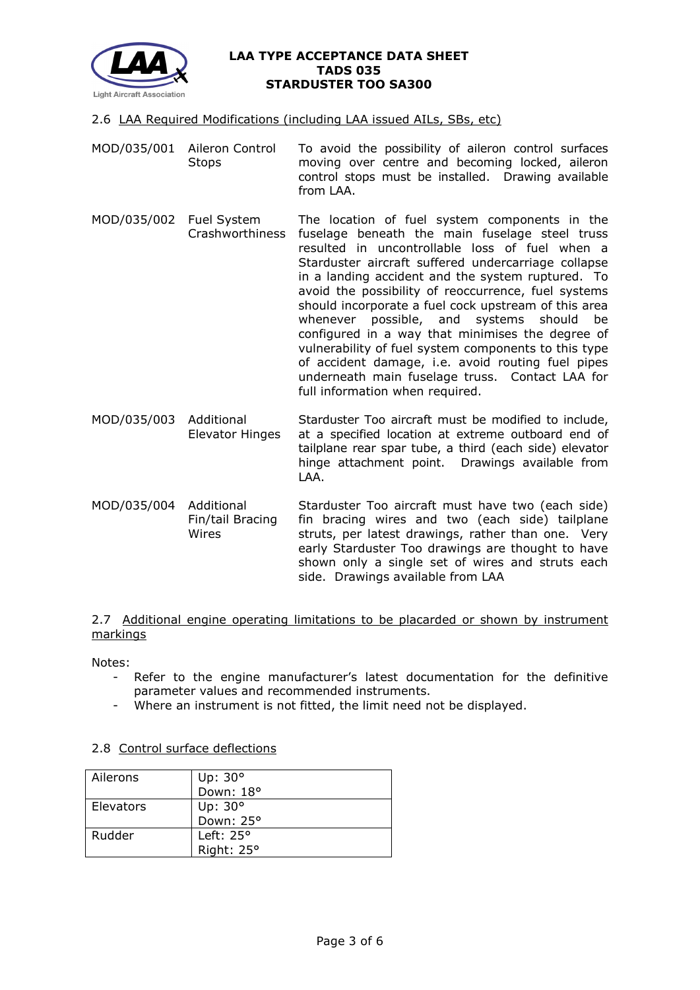

- 2.6 LAA Required Modifications (including LAA issued AILs, SBs, etc)
- MOD/035/001 Aileron Control **Stops** To avoid the possibility of aileron control surfaces moving over centre and becoming locked, aileron control stops must be installed. Drawing available from LAA.
- MOD/035/002 Fuel System Crashworthiness The location of fuel system components in the fuselage beneath the main fuselage steel truss resulted in uncontrollable loss of fuel when a Starduster aircraft suffered undercarriage collapse in a landing accident and the system ruptured. To avoid the possibility of reoccurrence, fuel systems should incorporate a fuel cock upstream of this area whenever possible, and systems should be configured in a way that minimises the degree of vulnerability of fuel system components to this type of accident damage, i.e. avoid routing fuel pipes underneath main fuselage truss. Contact LAA for full information when required.
- MOD/035/003 Additional Elevator Hinges Starduster Too aircraft must be modified to include, at a specified location at extreme outboard end of tailplane rear spar tube, a third (each side) elevator hinge attachment point. Drawings available from LAA.
- MOD/035/004 Additional Fin/tail Bracing Wires Starduster Too aircraft must have two (each side) fin bracing wires and two (each side) tailplane struts, per latest drawings, rather than one. Very early Starduster Too drawings are thought to have shown only a single set of wires and struts each side. Drawings available from LAA

# 2.7 Additional engine operating limitations to be placarded or shown by instrument markings

Notes:

- Refer to the engine manufacturer's latest documentation for the definitive parameter values and recommended instruments.
- Where an instrument is not fitted, the limit need not be displayed.

### 2.8 Control surface deflections

| Ailerons  | Up: $30^\circ$     |
|-----------|--------------------|
|           | Down: 18°          |
| Elevators | Up: 30°            |
|           | Down: 25°          |
| Rudder    | Left: $25^{\circ}$ |
|           | Right: 25°         |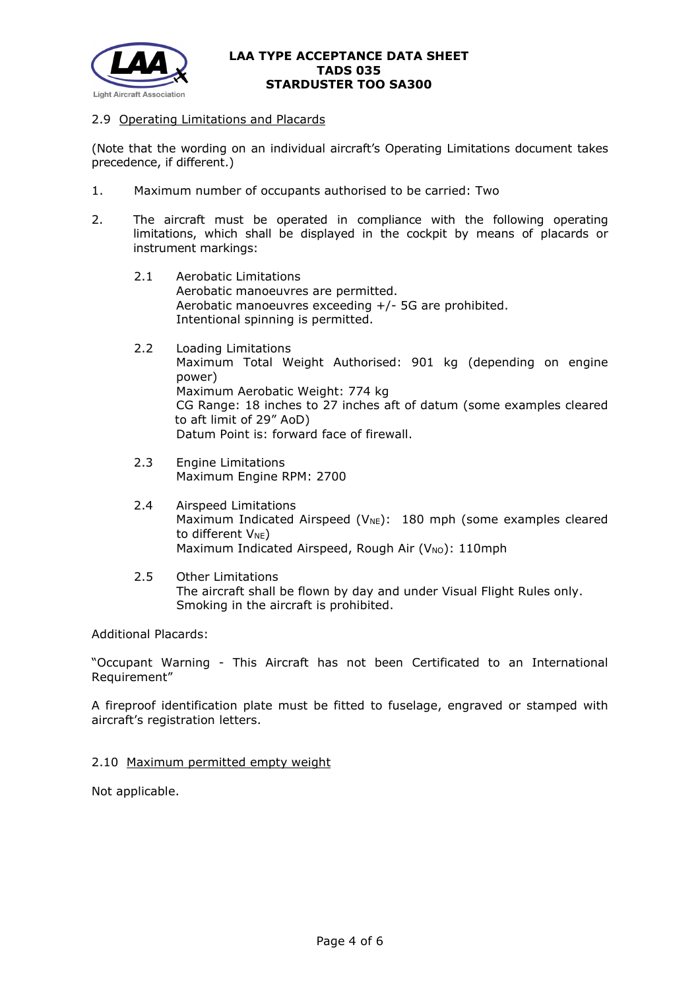

### 2.9 Operating Limitations and Placards

(Note that the wording on an individual aircraft's Operating Limitations document takes precedence, if different.)

- 1. Maximum number of occupants authorised to be carried: Two
- 2. The aircraft must be operated in compliance with the following operating limitations, which shall be displayed in the cockpit by means of placards or instrument markings:
	- 2.1 Aerobatic Limitations Aerobatic manoeuvres are permitted. Aerobatic manoeuvres exceeding +/- 5G are prohibited. Intentional spinning is permitted.
	- 2.2 Loading Limitations Maximum Total Weight Authorised: 901 kg (depending on engine power) Maximum Aerobatic Weight: 774 kg CG Range: 18 inches to 27 inches aft of datum (some examples cleared to aft limit of 29" AoD) Datum Point is: forward face of firewall.
	- 2.3 Engine Limitations Maximum Engine RPM: 2700
	- 2.4 Airspeed Limitations Maximum Indicated Airspeed ( $V_{NE}$ ): 180 mph (some examples cleared to different  $V_{NE}$ ) Maximum Indicated Airspeed, Rough Air (V<sub>NO</sub>): 110mph
	- 2.5 Other Limitations The aircraft shall be flown by day and under Visual Flight Rules only. Smoking in the aircraft is prohibited.

Additional Placards:

"Occupant Warning - This Aircraft has not been Certificated to an International Requirement"

A fireproof identification plate must be fitted to fuselage, engraved or stamped with aircraft's registration letters.

2.10 Maximum permitted empty weight

Not applicable.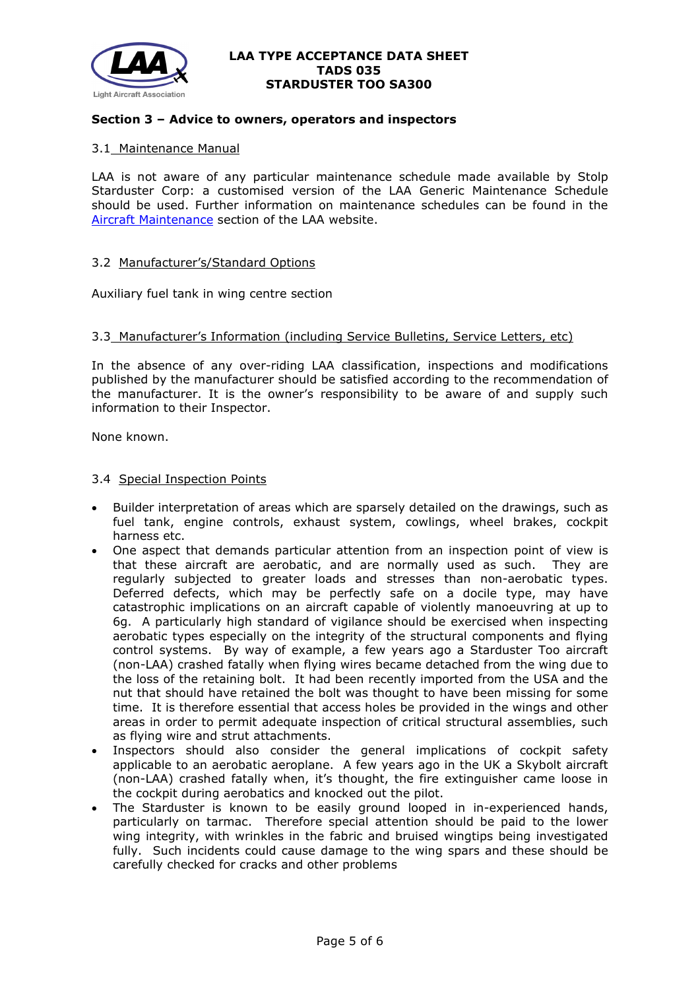

### **Section 3 – Advice to owners, operators and inspectors**

### 3.1 Maintenance Manual

LAA is not aware of any particular maintenance schedule made available by Stolp Starduster Corp: a customised version of the LAA Generic Maintenance Schedule should be used. Further information on maintenance schedules can be found in the [Aircraft Maintenance](http://www.lightaircraftassociation.co.uk/engineering/Maintenance/Aircraft_Maintenance.html) section of the LAA website.

#### 3.2 Manufacturer's/Standard Options

Auxiliary fuel tank in wing centre section

#### 3.3 Manufacturer's Information (including Service Bulletins, Service Letters, etc)

In the absence of any over-riding LAA classification, inspections and modifications published by the manufacturer should be satisfied according to the recommendation of the manufacturer. It is the owner's responsibility to be aware of and supply such information to their Inspector.

None known.

#### 3.4 Special Inspection Points

- Builder interpretation of areas which are sparsely detailed on the drawings, such as fuel tank, engine controls, exhaust system, cowlings, wheel brakes, cockpit harness etc.
- One aspect that demands particular attention from an inspection point of view is that these aircraft are aerobatic, and are normally used as such. They are regularly subjected to greater loads and stresses than non-aerobatic types. Deferred defects, which may be perfectly safe on a docile type, may have catastrophic implications on an aircraft capable of violently manoeuvring at up to 6g. A particularly high standard of vigilance should be exercised when inspecting aerobatic types especially on the integrity of the structural components and flying control systems. By way of example, a few years ago a Starduster Too aircraft (non-LAA) crashed fatally when flying wires became detached from the wing due to the loss of the retaining bolt. It had been recently imported from the USA and the nut that should have retained the bolt was thought to have been missing for some time. It is therefore essential that access holes be provided in the wings and other areas in order to permit adequate inspection of critical structural assemblies, such as flying wire and strut attachments.
- Inspectors should also consider the general implications of cockpit safety applicable to an aerobatic aeroplane. A few years ago in the UK a Skybolt aircraft (non-LAA) crashed fatally when, it's thought, the fire extinguisher came loose in the cockpit during aerobatics and knocked out the pilot.
- The Starduster is known to be easily ground looped in in-experienced hands, particularly on tarmac. Therefore special attention should be paid to the lower wing integrity, with wrinkles in the fabric and bruised wingtips being investigated fully. Such incidents could cause damage to the wing spars and these should be carefully checked for cracks and other problems